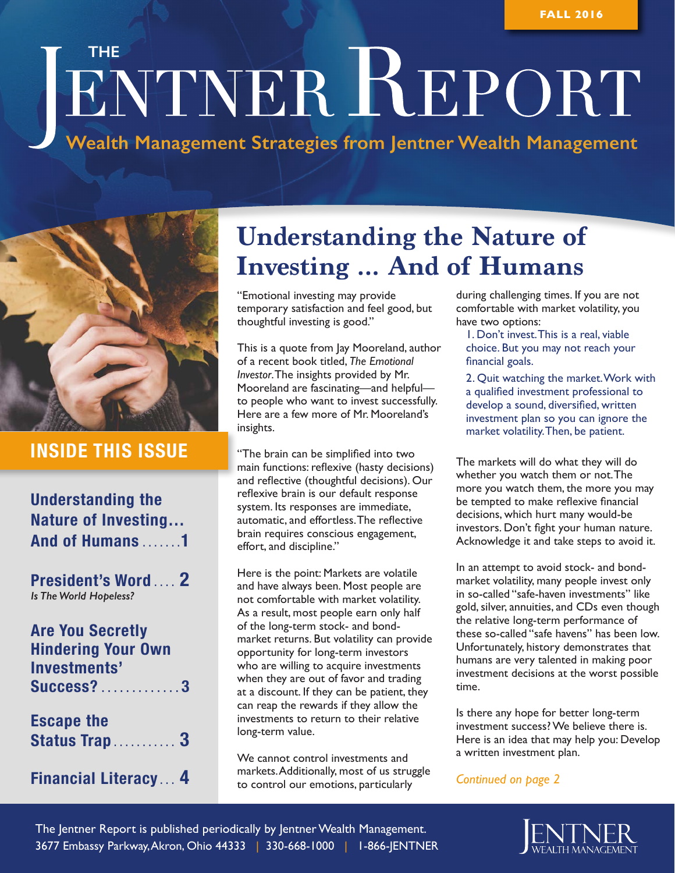# **THE NER REPORT**

**Wealth Management Strategies from Jentner Wealth Management**



### **INSIDE THIS ISSUE**

**Understanding the Nature of Investing… And of Humans . . . . . . 1**

**President's Word . . . . 2** *Is The World Hopeless?*

## **Are You Secretly Hindering Your Own Investments' Success? . . . . . . . . . . . . 3 Escape the Status Trap . . . . . . . . . . . 3**

#### **Financial Literacy . . . 4**

# **Understanding the Nature of Investing … And of Humans**

"Emotional investing may provide temporary satisfaction and feel good, but thoughtful investing is good."

This is a quote from Jay Mooreland, author of a recent book titled, *The Emotional Investor*. The insights provided by Mr. Mooreland are fascinating—and helpful to people who want to invest successfully. Here are a few more of Mr. Mooreland's insights.

"The brain can be simplified into two main functions: reflexive (hasty decisions) and reflective (thoughtful decisions). Our reflexive brain is our default response system. Its responses are immediate, automatic, and effortless. The reflective brain requires conscious engagement, effort, and discipline."

Here is the point: Markets are volatile and have always been. Most people are not comfortable with market volatility. As a result, most people earn only half of the long-term stock- and bondmarket returns. But volatility can provide opportunity for long-term investors who are willing to acquire investments when they are out of favor and trading at a discount. If they can be patient, they can reap the rewards if they allow the investments to return to their relative long-term value.

We cannot control investments and markets. Additionally, most of us struggle to control our emotions, particularly

during challenging times. If you are not comfortable with market volatility, you have two options:

1. Don't invest. This is a real, viable choice. But you may not reach your financial goals.

2. Quit watching the market. Work with a qualified investment professional to develop a sound, diversified, written investment plan so you can ignore the market volatility. Then, be patient.

The markets will do what they will do whether you watch them or not. The more you watch them, the more you may be tempted to make reflexive financial decisions, which hurt many would-be investors. Don't fight your human nature. Acknowledge it and take steps to avoid it.

In an attempt to avoid stock- and bondmarket volatility, many people invest only in so-called "safe-haven investments" like gold, silver, annuities, and CDs even though the relative long-term performance of these so-called "safe havens" has been low. Unfortunately, history demonstrates that humans are very talented in making poor investment decisions at the worst possible time.

Is there any hope for better long-term investment success? We believe there is. Here is an idea that may help you: Develop a written investment plan.

*Continued on page 2*

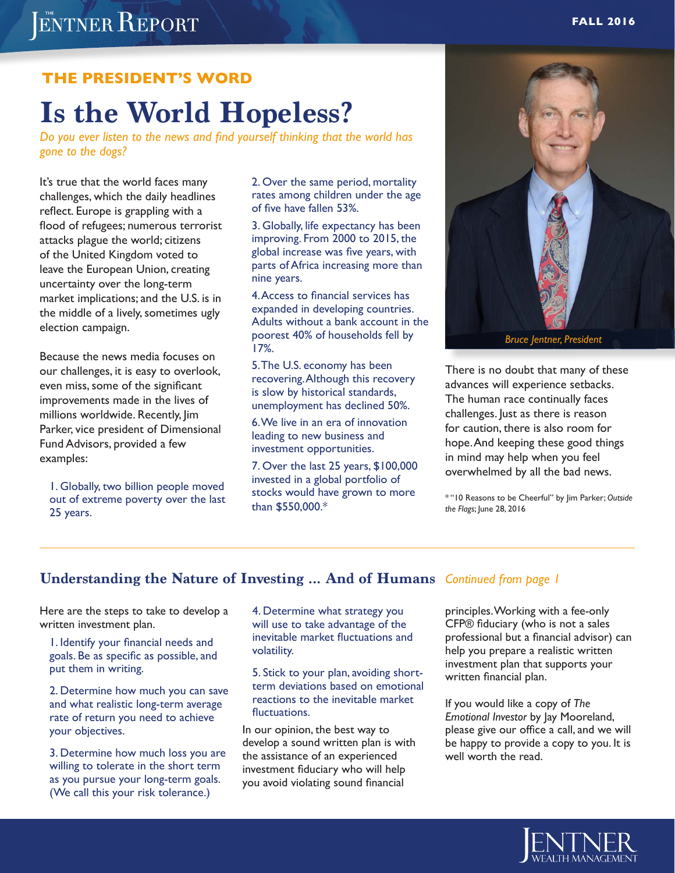# ENTNER REPORT

#### **THE PRESIDENT'S WORD**

# **Is the World Hopeless?**

*Do you ever listen to the news and find yourself thinking that the world has gone to the dogs?*

It's true that the world faces many challenges, which the daily headlines reflect. Europe is grappling with a flood of refugees; numerous terrorist attacks plague the world; citizens of the United Kingdom voted to leave the European Union, creating uncertainty over the long-term market implications; and the U.S. is in the middle of a lively, sometimes ugly election campaign.

Because the news media focuses on our challenges, it is easy to overlook, even miss, some of the significant improvements made in the lives of millions worldwide. Recently, Jim Parker, vice president of Dimensional Fund Advisors, provided a few examples:

1. Globally, two billion people moved out of extreme poverty over the last 25 years.

2. Over the same period, mortality rates among children under the age of five have fallen 53%.

3. Globally, life expectancy has been improving. From 2000 to 2015, the global increase was five years, with parts of Africa increasing more than nine years.

4. Access to financial services has expanded in developing countries. Adults without a bank account in the poorest 40% of households fell by 17%.

5. The U.S. economy has been recovering. Although this recovery is slow by historical standards, unemployment has declined 50%.

6. We live in an era of innovation leading to new business and investment opportunities.

7. Over the last 25 years, \$100,000 invested in a global portfolio of stocks would have grown to more than \$550,000.\*



There is no doubt that many of these advances will experience setbacks. The human race continually faces challenges. Just as there is reason for caution, there is also room for hope. And keeping these good things in mind may help when you feel overwhelmed by all the bad news.

\* "10 Reasons to be Cheerful" by Jim Parker; *Outside the Flags*; June 28, 2016

#### **Understanding the Nature of Investing … And of Humans** *Continued from page 1*

Here are the steps to take to develop a written investment plan.

1. Identify your financial needs and goals. Be as specific as possible, and put them in writing.

2. Determine how much you can save and what realistic long-term average rate of return you need to achieve your objectives.

3. Determine how much loss you are willing to tolerate in the short term as you pursue your long-term goals. (We call this your risk tolerance.)

4. Determine what strategy you will use to take advantage of the inevitable market fluctuations and volatility.

5. Stick to your plan, avoiding shortterm deviations based on emotional reactions to the inevitable market fluctuations.

In our opinion, the best way to develop a sound written plan is with the assistance of an experienced investment fiduciary who will help you avoid violating sound financial

principles. Working with a fee-only CFP® fiduciary (who is not a sales professional but a financial advisor) can help you prepare a realistic written investment plan that supports your written financial plan.

If you would like a copy of *The Emotional Investor* by Jay Mooreland, please give our office a call, and we will be happy to provide a copy to you. It is well worth the read.

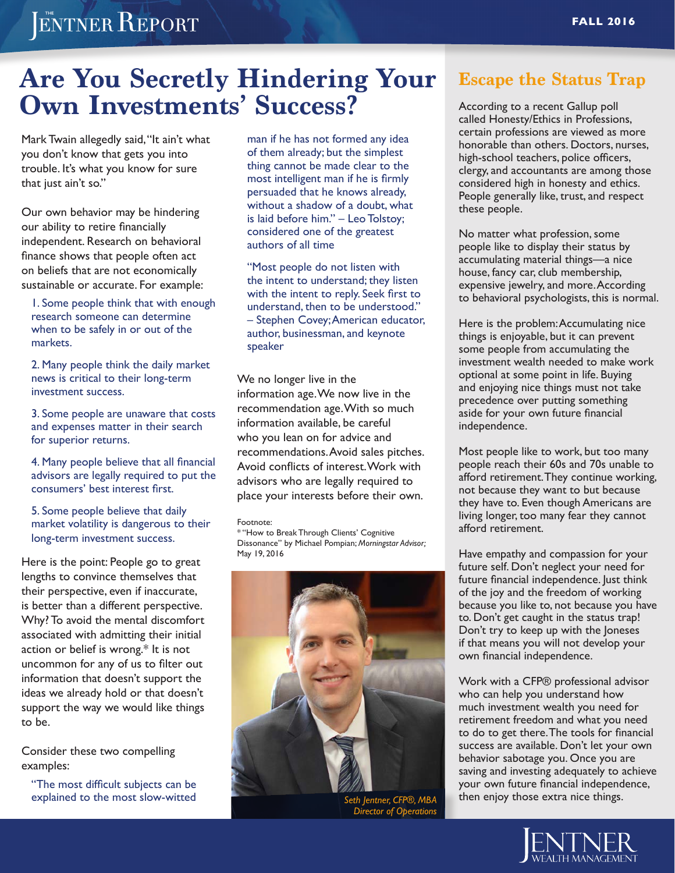# ENTNER REPORT

# **Are You Secretly Hindering Your Own Investments' Success?**

Mark Twain allegedly said, "It ain't what you don't know that gets you into trouble. It's what you know for sure that just ain't so."

Our own behavior may be hindering our ability to retire financially independent. Research on behavioral finance shows that people often act on beliefs that are not economically sustainable or accurate. For example:

1. Some people think that with enough research someone can determine when to be safely in or out of the markets.

2. Many people think the daily market news is critical to their long-term investment success.

3. Some people are unaware that costs and expenses matter in their search for superior returns.

4. Many people believe that all financial advisors are legally required to put the consumers' best interest first.

5. Some people believe that daily market volatility is dangerous to their long-term investment success.

Here is the point: People go to great lengths to convince themselves that their perspective, even if inaccurate, is better than a different perspective. Why? To avoid the mental discomfort associated with admitting their initial action or belief is wrong.\* It is not uncommon for any of us to filter out information that doesn't support the ideas we already hold or that doesn't support the way we would like things to be.

Consider these two compelling examples:

"The most difficult subjects can be explained to the most slow-witted

man if he has not formed any idea of them already; but the simplest thing cannot be made clear to the most intelligent man if he is firmly persuaded that he knows already, without a shadow of a doubt, what is laid before him." – Leo Tolstoy; considered one of the greatest authors of all time

"Most people do not listen with the intent to understand; they listen with the intent to reply. Seek first to understand, then to be understood." – Stephen Covey; American educator, author, businessman, and keynote speaker

We no longer live in the information age. We now live in the recommendation age. With so much information available, be careful who you lean on for advice and recommendations. Avoid sales pitches. Avoid conflicts of interest. Work with advisors who are legally required to place your interests before their own.

#### Footnote:

\* "How to Break Through Clients' Cognitive Dissonance" by Michael Pompian; *Morningstar Advisor;*  May 19, 2016



*Seth Jentner, CFP®, MBA Director of Operations*

#### **Escape the Status Trap**

According to a recent Gallup poll called Honesty/Ethics in Professions, certain professions are viewed as more honorable than others. Doctors, nurses, high-school teachers, police officers, clergy, and accountants are among those considered high in honesty and ethics. People generally like, trust, and respect these people.

No matter what profession, some people like to display their status by accumulating material things—a nice house, fancy car, club membership, expensive jewelry, and more. According to behavioral psychologists, this is normal.

Here is the problem: Accumulating nice things is enjoyable, but it can prevent some people from accumulating the investment wealth needed to make work optional at some point in life. Buying and enjoying nice things must not take precedence over putting something aside for your own future financial independence.

Most people like to work, but too many people reach their 60s and 70s unable to afford retirement. They continue working, not because they want to but because they have to. Even though Americans are living longer, too many fear they cannot afford retirement.

Have empathy and compassion for your future self. Don't neglect your need for future financial independence. Just think of the joy and the freedom of working because you like to, not because you have to. Don't get caught in the status trap! Don't try to keep up with the Joneses if that means you will not develop your own financial independence.

Work with a CFP® professional advisor who can help you understand how much investment wealth you need for retirement freedom and what you need to do to get there. The tools for financial success are available. Don't let your own behavior sabotage you. Once you are saving and investing adequately to achieve your own future financial independence, then enjoy those extra nice things.